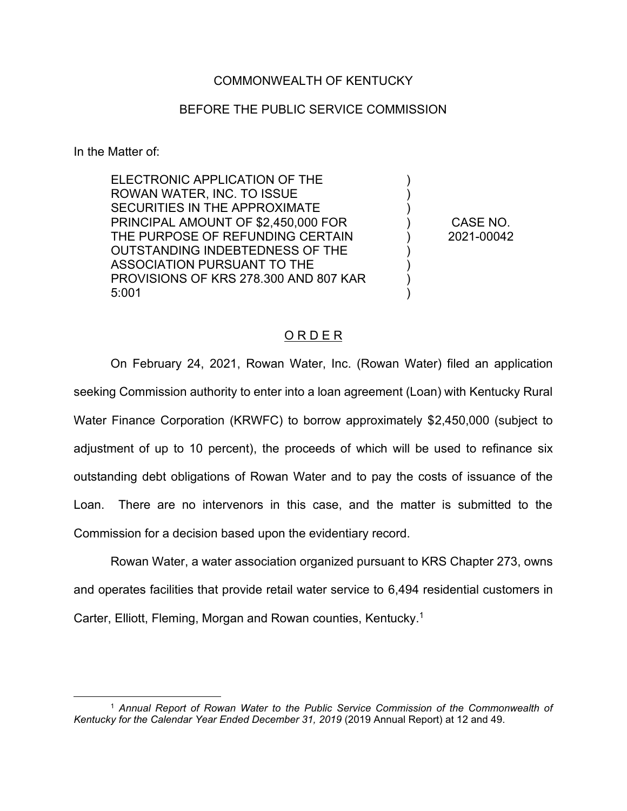## COMMONWEALTH OF KENTUCKY

## BEFORE THE PUBLIC SERVICE COMMISSION

In the Matter of:

ELECTRONIC APPLICATION OF THE ROWAN WATER, INC. TO ISSUE SECURITIES IN THE APPROXIMATE PRINCIPAL AMOUNT OF \$2,450,000 FOR THE PURPOSE OF REFUNDING CERTAIN OUTSTANDING INDEBTEDNESS OF THE ASSOCIATION PURSUANT TO THE PROVISIONS OF KRS 278.300 AND 807 KAR 5:001

CASE NO. 2021-00042

) ) ) ) ) ) ) ) )

## ORDER

On February 24, 2021, Rowan Water, Inc. (Rowan Water) filed an application seeking Commission authority to enter into a loan agreement (Loan) with Kentucky Rural Water Finance Corporation (KRWFC) to borrow approximately \$2,450,000 (subject to adjustment of up to 10 percent), the proceeds of which will be used to refinance six outstanding debt obligations of Rowan Water and to pay the costs of issuance of the Loan. There are no intervenors in this case, and the matter is submitted to the Commission for a decision based upon the evidentiary record.

Rowan Water, a water association organized pursuant to KRS Chapter 273, owns and operates facilities that provide retail water service to 6,494 residential customers in Carter, Elliott, Fleming, Morgan and Rowan counties, Kentucky.1

<sup>1</sup> *Annual Report of Rowan Water to the Public Service Commission of the Commonwealth of Kentucky for the Calendar Year Ended December 31, 2019* (2019 Annual Report) at 12 and 49.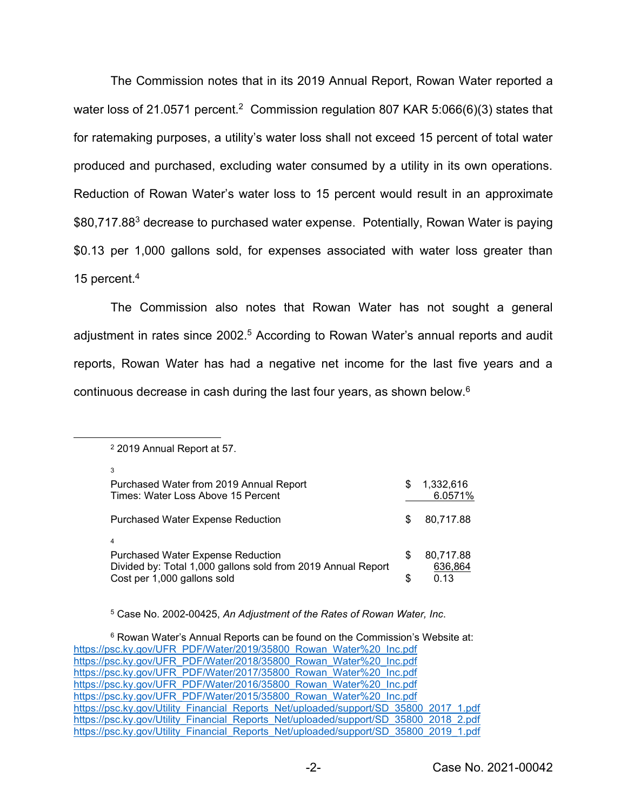The Commission notes that in its 2019 Annual Report, Rowan Water reported a water loss of 21.0571 percent.<sup>2</sup> Commission regulation 807 KAR 5:066(6)(3) states that for ratemaking purposes, a utility's water loss shall not exceed 15 percent of total water produced and purchased, excluding water consumed by a utility in its own operations. Reduction of Rowan Water's water loss to 15 percent would result in an approximate \$80,717.88<sup>3</sup> decrease to purchased water expense. Potentially, Rowan Water is paying \$0.13 per 1,000 gallons sold, for expenses associated with water loss greater than 15 percent.4

The Commission also notes that Rowan Water has not sought a general adjustment in rates since 2002.<sup>5</sup> According to Rowan Water's annual reports and audit reports, Rowan Water has had a negative net income for the last five years and a continuous decrease in cash during the last four years, as shown below.6

| Purchased Water from 2019 Annual Report<br>Times: Water Loss Above 15 Percent                                              | S | 1.332.616<br>6.0571% |
|----------------------------------------------------------------------------------------------------------------------------|---|----------------------|
| <b>Purchased Water Expense Reduction</b>                                                                                   | S | 80,717.88            |
| $\overline{4}$<br><b>Purchased Water Expense Reduction</b><br>Divided by: Total 1,000 gallons sold from 2019 Annual Report | S | 80,717.88<br>636,864 |
| Cost per 1,000 gallons sold                                                                                                | S | 0.13                 |

<sup>2</sup> 2019 Annual Report at 57.

3

<sup>5</sup> Case No. 2002-00425, *An Adjustment of the Rates of Rowan Water, Inc*.

<sup>&</sup>lt;sup>6</sup> Rowan Water's Annual Reports can be found on the Commission's Website at: https://psc.ky.gov/UFR\_PDF/Water/2019/35800\_Rowan\_Water%20\_Inc.pdf https://psc.ky.gov/UFR\_PDF/Water/2018/35800\_Rowan\_Water%20\_Inc.pdf https://psc.ky.gov/UFR\_PDF/Water/2017/35800\_Rowan\_Water%20\_Inc.pdf https://psc.ky.gov/UFR\_PDF/Water/2016/35800\_Rowan\_Water%20\_Inc.pdf https://psc.ky.gov/UFR\_PDF/Water/2015/35800\_Rowan\_Water%20\_Inc.pdf https://psc.ky.gov/Utility\_Financial\_Reports\_Net/uploaded/support/SD\_35800\_2017\_1.pdf https://psc.ky.gov/Utility\_Financial\_Reports\_Net/uploaded/support/SD\_35800\_2018\_2.pdf https://psc.ky.gov/Utility\_Financial\_Reports\_Net/uploaded/support/SD\_35800\_2019\_1.pdf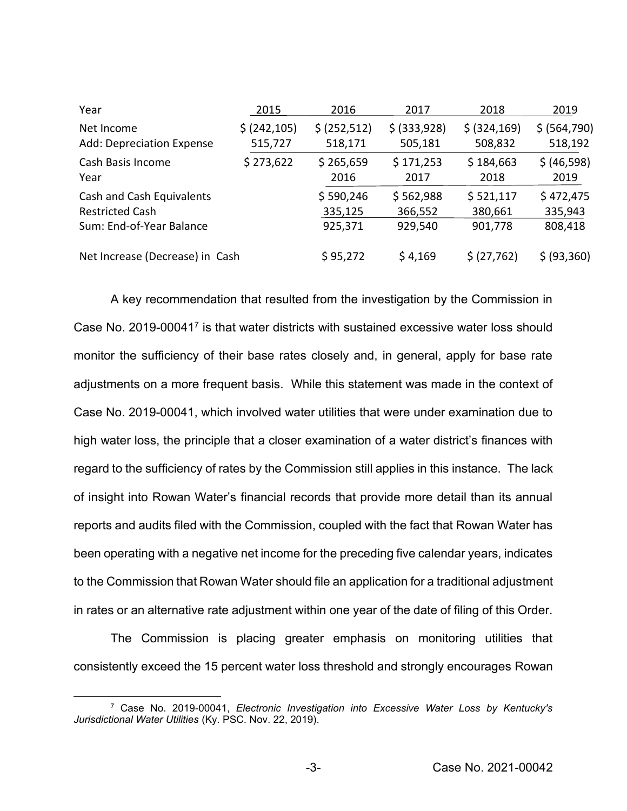| Year                            | 2015          | 2016          | 2017         | 2018          | 2019          |
|---------------------------------|---------------|---------------|--------------|---------------|---------------|
| Net Income                      | \$ (242, 105) | \$ (252, 512) | \$ (333,928) | \$ (324, 169) | \$ (564, 790) |
| Add: Depreciation Expense       | 515,727       | 518,171       | 505,181      | 508,832       | 518,192       |
| Cash Basis Income               | \$273,622     | \$265,659     | \$171,253    | \$184,663     | \$ (46,598)   |
| Year                            |               | 2016          | 2017         | 2018          | 2019          |
| Cash and Cash Equivalents       |               | \$590,246     | \$562,988    | \$521,117     | \$472,475     |
| <b>Restricted Cash</b>          |               | 335,125       | 366,552      | 380,661       | 335,943       |
| Sum: End-of-Year Balance        |               | 925,371       | 929,540      | 901,778       | 808,418       |
| Net Increase (Decrease) in Cash |               | \$95,272      | \$4,169      | \$ (27,762)   | \$ (93,360)   |

A key recommendation that resulted from the investigation by the Commission in Case No. 2019-000417 is that water districts with sustained excessive water loss should monitor the sufficiency of their base rates closely and, in general, apply for base rate adjustments on a more frequent basis. While this statement was made in the context of Case No. 2019-00041, which involved water utilities that were under examination due to high water loss, the principle that a closer examination of a water district's finances with regard to the sufficiency of rates by the Commission still applies in this instance. The lack of insight into Rowan Water's financial records that provide more detail than its annual reports and audits filed with the Commission, coupled with the fact that Rowan Water has been operating with a negative net income for the preceding five calendar years, indicates to the Commission that Rowan Water should file an application for a traditional adjustment in rates or an alternative rate adjustment within one year of the date of filing of this Order.

The Commission is placing greater emphasis on monitoring utilities that consistently exceed the 15 percent water loss threshold and strongly encourages Rowan

<sup>7</sup> Case No. 2019-00041, *Electronic Investigation into Excessive Water Loss by Kentucky's Jurisdictional Water Utilities* (Ky. PSC. Nov. 22, 2019).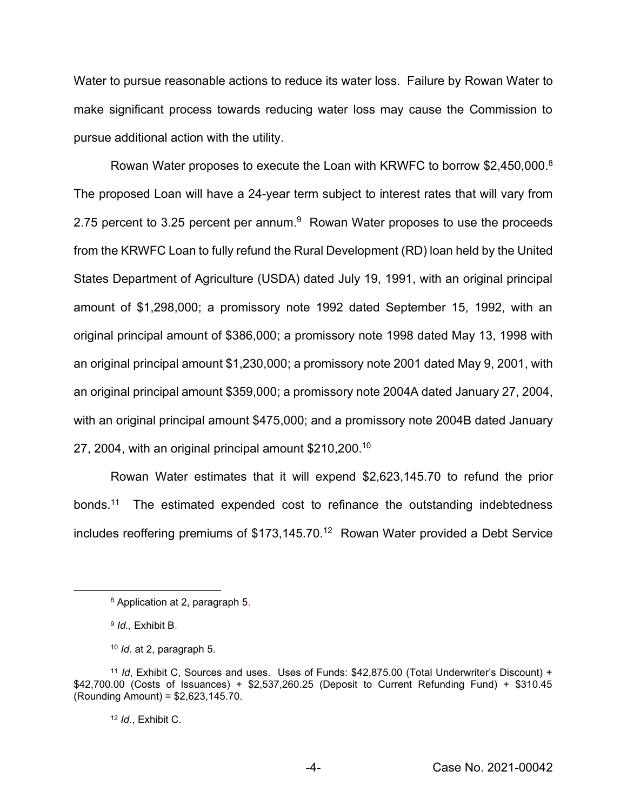Water to pursue reasonable actions to reduce its water loss. Failure by Rowan Water to make significant process towards reducing water loss may cause the Commission to pursue additional action with the utility.

Rowan Water proposes to execute the Loan with KRWFC to borrow \$2,450,000.<sup>8</sup> The proposed Loan will have a 24-year term subject to interest rates that will vary from 2.75 percent to 3.25 percent per annum.<sup>9</sup> Rowan Water proposes to use the proceeds from the KRWFC Loan to fully refund the Rural Development (RD) loan held by the United States Department of Agriculture (USDA) dated July 19, 1991, with an original principal amount of \$1,298,000; a promissory note 1992 dated September 15, 1992, with an original principal amount of \$386,000; a promissory note 1998 dated May 13, 1998 with an original principal amount \$1,230,000; a promissory note 2001 dated May 9, 2001, with an original principal amount \$359,000; a promissory note 2004A dated January 27, 2004, with an original principal amount \$475,000; and a promissory note 2004B dated January 27, 2004, with an original principal amount \$210,200. 10

Rowan Water estimates that it will expend \$2,623,145.70 to refund the prior bonds. 11 The estimated expended cost to refinance the outstanding indebtedness includes reoffering premiums of \$173,145.70. 12 Rowan Water provided a Debt Service

<sup>12</sup> *Id.*, Exhibit C.

<sup>8</sup> Application at 2, paragraph 5.

<sup>9</sup> *Id.,* Exhibit B.

<sup>10</sup> *Id.* at 2, paragraph 5.

<sup>11</sup> *Id*, Exhibit C, Sources and uses. Uses of Funds: \$42,875.00 (Total Underwriter's Discount) + \$42,700.00 (Costs of Issuances) + \$2,537,260.25 (Deposit to Current Refunding Fund) + \$310.45 (Rounding Amount) = \$2,623,145.70.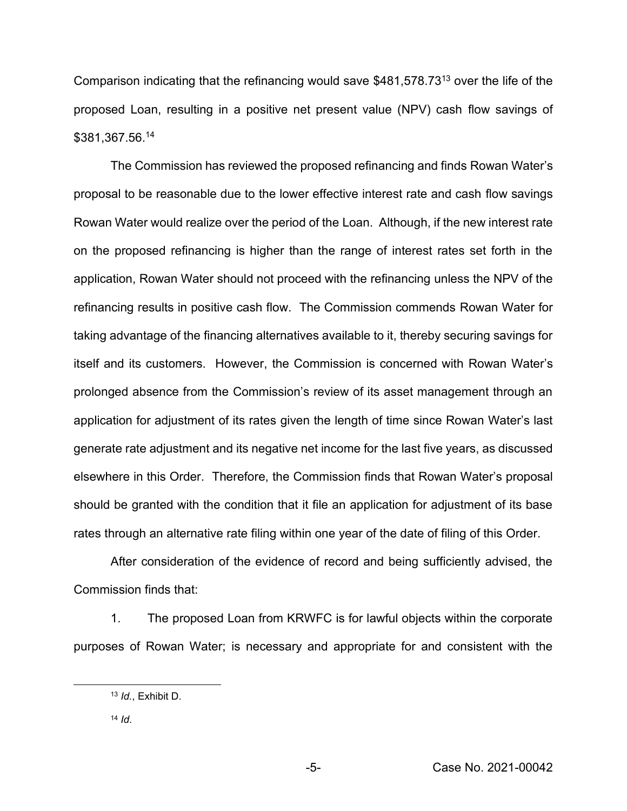Comparison indicating that the refinancing would save \$481,578.7313 over the life of the proposed Loan, resulting in a positive net present value (NPV) cash flow savings of \$381,367.56.14

The Commission has reviewed the proposed refinancing and finds Rowan Water's proposal to be reasonable due to the lower effective interest rate and cash flow savings Rowan Water would realize over the period of the Loan. Although, if the new interest rate on the proposed refinancing is higher than the range of interest rates set forth in the application, Rowan Water should not proceed with the refinancing unless the NPV of the refinancing results in positive cash flow. The Commission commends Rowan Water for taking advantage of the financing alternatives available to it, thereby securing savings for itself and its customers. However, the Commission is concerned with Rowan Water's prolonged absence from the Commission's review of its asset management through an application for adjustment of its rates given the length of time since Rowan Water's last generate rate adjustment and its negative net income for the last five years, as discussed elsewhere in this Order. Therefore, the Commission finds that Rowan Water's proposal should be granted with the condition that it file an application for adjustment of its base rates through an alternative rate filing within one year of the date of filing of this Order.

After consideration of the evidence of record and being sufficiently advised, the Commission finds that:

1. The proposed Loan from KRWFC is for lawful objects within the corporate purposes of Rowan Water; is necessary and appropriate for and consistent with the

<sup>13</sup> *Id.*, Exhibit D.

<sup>14</sup> *Id*.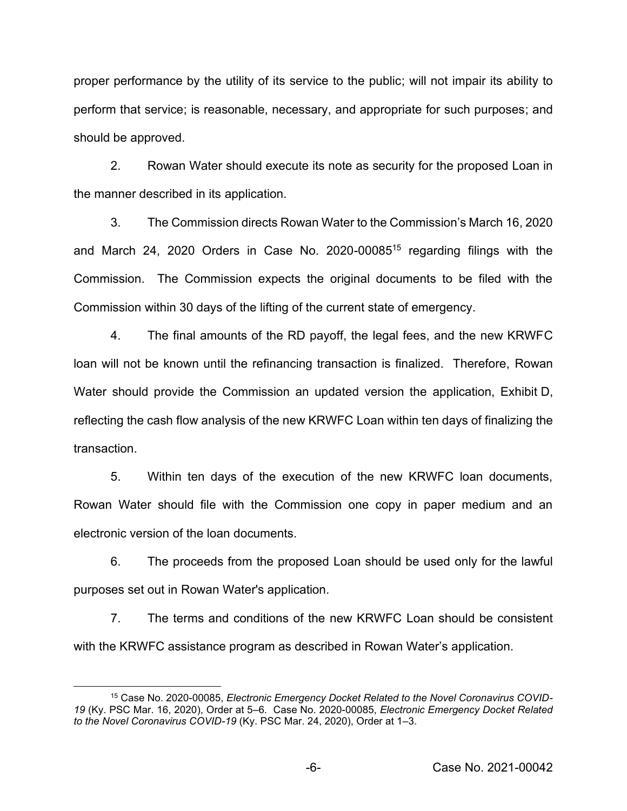proper performance by the utility of its service to the public; will not impair its ability to perform that service; is reasonable, necessary, and appropriate for such purposes; and should be approved.

2. Rowan Water should execute its note as security for the proposed Loan in the manner described in its application.

3. The Commission directs Rowan Water to the Commission's March 16, 2020 and March 24, 2020 Orders in Case No. 2020-0008515 regarding filings with the Commission. The Commission expects the original documents to be filed with the Commission within 30 days of the lifting of the current state of emergency.

4. The final amounts of the RD payoff, the legal fees, and the new KRWFC loan will not be known until the refinancing transaction is finalized. Therefore, Rowan Water should provide the Commission an updated version the application, Exhibit D, reflecting the cash flow analysis of the new KRWFC Loan within ten days of finalizing the transaction.

5. Within ten days of the execution of the new KRWFC loan documents, Rowan Water should file with the Commission one copy in paper medium and an electronic version of the loan documents.

6. The proceeds from the proposed Loan should be used only for the lawful purposes set out in Rowan Water's application.

7. The terms and conditions of the new KRWFC Loan should be consistent with the KRWFC assistance program as described in Rowan Water's application.

<sup>15</sup> Case No. 2020-00085, *Electronic Emergency Docket Related to the Novel Coronavirus COVID-19* (Ky. PSC Mar. 16, 2020), Order at 5–6. Case No. 2020-00085, *Electronic Emergency Docket Related to the Novel Coronavirus COVID-19* (Ky. PSC Mar. 24, 2020), Order at 1–3.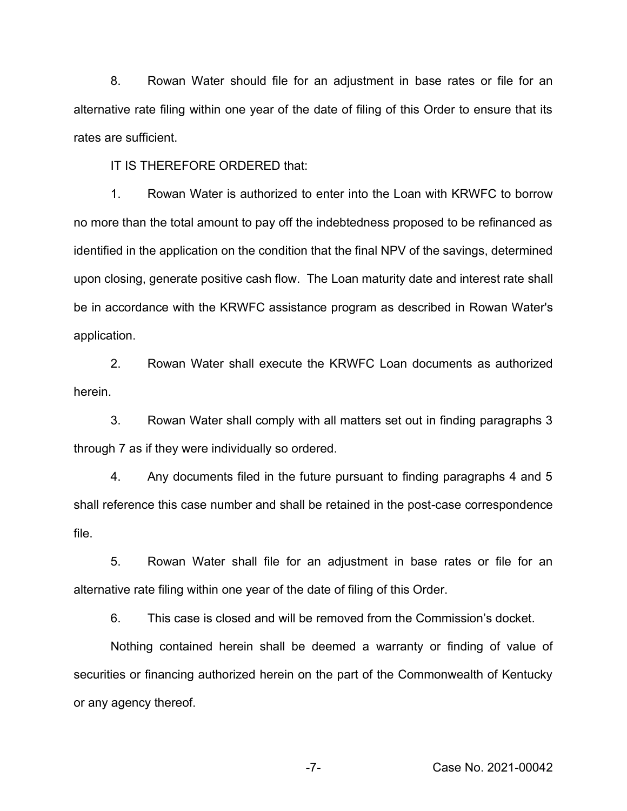8. Rowan Water should file for an adjustment in base rates or file for an alternative rate filing within one year of the date of filing of this Order to ensure that its rates are sufficient.

IT IS THEREFORE ORDERED that:

1. Rowan Water is authorized to enter into the Loan with KRWFC to borrow no more than the total amount to pay off the indebtedness proposed to be refinanced as identified in the application on the condition that the final NPV of the savings, determined upon closing, generate positive cash flow. The Loan maturity date and interest rate shall be in accordance with the KRWFC assistance program as described in Rowan Water's application.

2. Rowan Water shall execute the KRWFC Loan documents as authorized herein.

3. Rowan Water shall comply with all matters set out in finding paragraphs 3 through 7 as if they were individually so ordered.

4. Any documents filed in the future pursuant to finding paragraphs 4 and 5 shall reference this case number and shall be retained in the post-case correspondence file.

5. Rowan Water shall file for an adjustment in base rates or file for an alternative rate filing within one year of the date of filing of this Order.

6. This case is closed and will be removed from the Commission's docket.

Nothing contained herein shall be deemed a warranty or finding of value of securities or financing authorized herein on the part of the Commonwealth of Kentucky or any agency thereof.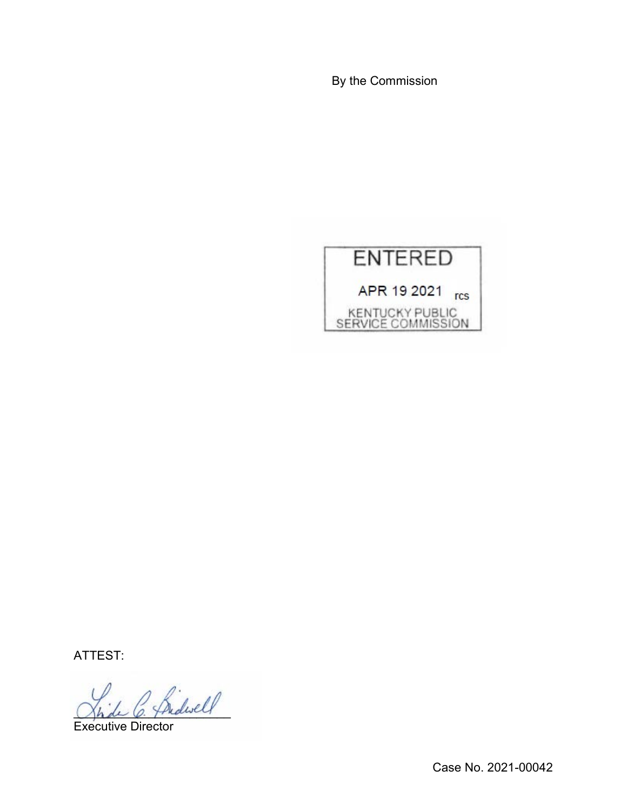By the Commission



ATTEST:

 $\bigwedge^{\prime}$  Sidwell

Executive Director

Case No. 2021-00042